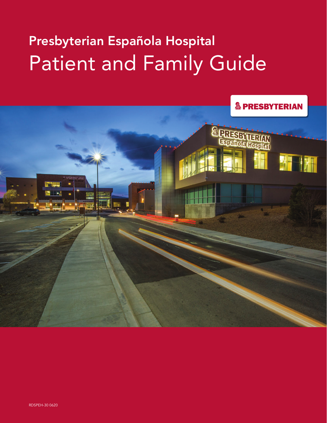# Presbyterian Española Hospital Patient and Family Guide



RDSPEH-30 0620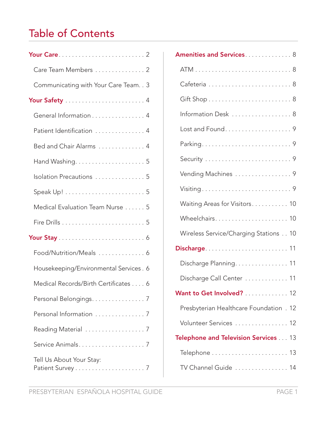# Table of Contents

| Care Team Members  2                    |
|-----------------------------------------|
| Communicating with Your Care Team. . 3  |
|                                         |
| General Information 4                   |
| Patient Identification  4               |
| Bed and Chair Alarms  4                 |
|                                         |
| Isolation Precautions  5                |
|                                         |
| Medical Evaluation Team Nurse 5         |
|                                         |
|                                         |
| Food/Nutrition/Meals  6                 |
| Housekeeping/Environmental Services . 6 |
| Medical Records/Birth Certificates 6    |
| Personal Belongings. 7                  |
| Personal Information  7                 |
| Reading Material  7                     |
|                                         |
| Tell Us About Your Stay:                |

| Amenities and Services 8                |
|-----------------------------------------|
|                                         |
|                                         |
|                                         |
| Information Desk  8                     |
|                                         |
|                                         |
|                                         |
| Vending Machines  9                     |
| Visiting9                               |
| Waiting Areas for Visitors 10           |
| Wheelchairs 10                          |
| Wireless Service/Charging Stations 10   |
|                                         |
| Discharge Planning. 11                  |
| Discharge Call Center  11               |
| Want to Get Involved? 12                |
| Presbyterian Healthcare Foundation . 12 |
| Volunteer Services  12                  |
| Telephone and Television Services 13    |
|                                         |
| TV Channel Guide  14                    |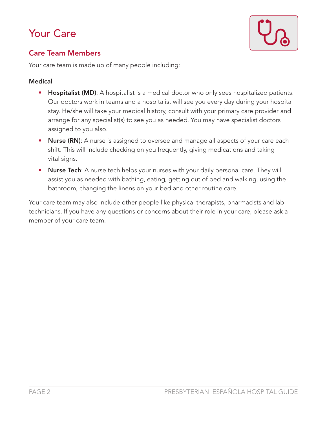

#### Care Team Members

Your care team is made up of many people including:

#### Medical

- Hospitalist (MD): A hospitalist is a medical doctor who only sees hospitalized patients. Our doctors work in teams and a hospitalist will see you every day during your hospital stay. He/she will take your medical history, consult with your primary care provider and arrange for any specialist(s) to see you as needed. You may have specialist doctors assigned to you also.
- Nurse (RN): A nurse is assigned to oversee and manage all aspects of your care each shift. This will include checking on you frequently, giving medications and taking vital signs.
- Nurse Tech: A nurse tech helps your nurses with your daily personal care. They will assist you as needed with bathing, eating, getting out of bed and walking, using the bathroom, changing the linens on your bed and other routine care.

Your care team may also include other people like physical therapists, pharmacists and lab technicians. If you have any questions or concerns about their role in your care, please ask a member of your care team.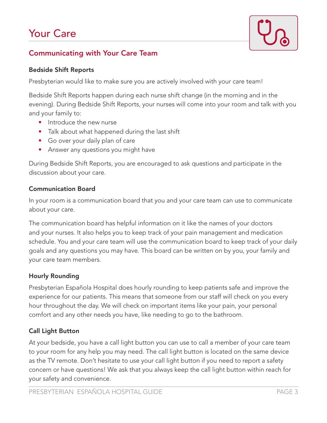# Your Care



### Communicating with Your Care Team

#### Bedside Shift Reports

Presbyterian would like to make sure you are actively involved with your care team!

Bedside Shift Reports happen during each nurse shift change (in the morning and in the evening). During Bedside Shift Reports, your nurses will come into your room and talk with you and your family to:

- Introduce the new nurse
- Talk about what happened during the last shift
- Go over your daily plan of care
- Answer any questions you might have

During Bedside Shift Reports, you are encouraged to ask questions and participate in the discussion about your care.

#### Communication Board

In your room is a communication board that you and your care team can use to communicate about your care.

The communication board has helpful information on it like the names of your doctors and your nurses. It also helps you to keep track of your pain management and medication schedule. You and your care team will use the communication board to keep track of your daily goals and any questions you may have. This board can be written on by you, your family and your care team members.

#### Hourly Rounding

Presbyterian Española Hospital does hourly rounding to keep patients safe and improve the experience for our patients. This means that someone from our staff will check on you every hour throughout the day. We will check on important items like your pain, your personal comfort and any other needs you have, like needing to go to the bathroom.

#### Call Light Button

At your bedside, you have a call light button you can use to call a member of your care team to your room for any help you may need. The call light button is located on the same device as the TV remote. Don't hesitate to use your call light button if you need to report a safety concern or have questions! We ask that you always keep the call light button within reach for your safety and convenience.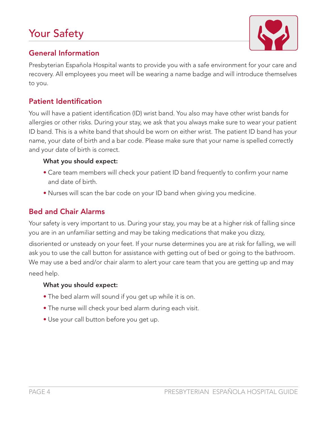# Your Safety



### General Information

Presbyterian Española Hospital wants to provide you with a safe environment for your care and recovery. All employees you meet will be wearing a name badge and will introduce themselves to you.

#### Patient Identification

You will have a patient identification (ID) wrist band. You also may have other wrist bands for allergies or other risks. During your stay, we ask that you always make sure to wear your patient ID band. This is a white band that should be worn on either wrist. The patient ID band has your name, your date of birth and a bar code. Please make sure that your name is spelled correctly and your date of birth is correct.

#### What you should expect:

- Care team members will check your patient ID band frequently to confirm your name and date of birth.
- Nurses will scan the bar code on your ID band when giving you medicine.

#### Bed and Chair Alarms

Your safety is very important to us. During your stay, you may be at a higher risk of falling since you are in an unfamiliar setting and may be taking medications that make you dizzy,

disoriented or unsteady on your feet. If your nurse determines you are at risk for falling, we will ask you to use the call button for assistance with getting out of bed or going to the bathroom. We may use a bed and/or chair alarm to alert your care team that you are getting up and may need help.

#### What you should expect:

- The bed alarm will sound if you get up while it is on.
- The nurse will check your bed alarm during each visit.
- Use your call button before you get up.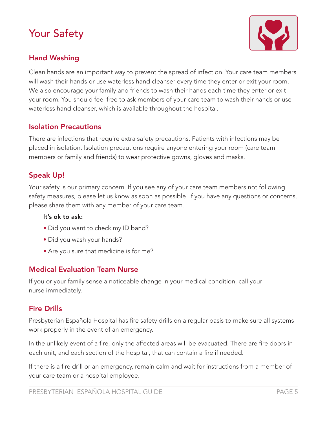# Your Safety



### Hand Washing

Clean hands are an important way to prevent the spread of infection. Your care team members will wash their hands or use waterless hand cleanser every time they enter or exit your room. We also encourage your family and friends to wash their hands each time they enter or exit your room. You should feel free to ask members of your care team to wash their hands or use waterless hand cleanser, which is available throughout the hospital.

#### Isolation Precautions

There are infections that require extra safety precautions. Patients with infections may be placed in isolation. Isolation precautions require anyone entering your room (care team members or family and friends) to wear protective gowns, gloves and masks.

#### Speak Up!

Your safety is our primary concern. If you see any of your care team members not following safety measures, please let us know as soon as possible. If you have any questions or concerns, please share them with any member of your care team.

#### It's ok to ask:

- Did you want to check my ID band?
- Did you wash your hands?
- Are you sure that medicine is for me?

#### Medical Evaluation Team Nurse

If you or your family sense a noticeable change in your medical condition, call your nurse immediately.

#### Fire Drills

Presbyterian Española Hospital has fire safety drills on a regular basis to make sure all systems work properly in the event of an emergency.

In the unlikely event of a fire, only the affected areas will be evacuated. There are fire doors in each unit, and each section of the hospital, that can contain a fire if needed.

If there is a fire drill or an emergency, remain calm and wait for instructions from a member of your care team or a hospital employee.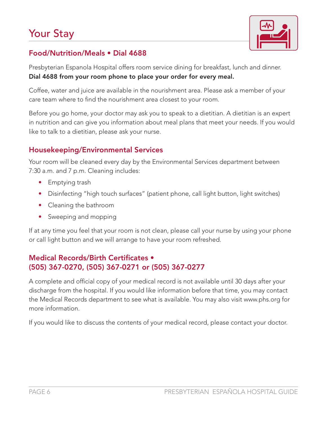

### Food/Nutrition/Meals • Dial 4688

Presbyterian Espanola Hospital offers room service dining for breakfast, lunch and dinner. Dial 4688 from your room phone to place your order for every meal.

Coffee, water and juice are available in the nourishment area. Please ask a member of your care team where to find the nourishment area closest to your room.

Before you go home, your doctor may ask you to speak to a dietitian. A dietitian is an expert in nutrition and can give you information about meal plans that meet your needs. If you would like to talk to a dietitian, please ask your nurse.

#### Housekeeping/Environmental Services

Your room will be cleaned every day by the Environmental Services department between 7:30 a.m. and 7 p.m. Cleaning includes:

- Emptying trash
- Disinfecting "high touch surfaces" (patient phone, call light button, light switches)
- Cleaning the bathroom
- Sweeping and mopping

If at any time you feel that your room is not clean, please call your nurse by using your phone or call light button and we will arrange to have your room refreshed.

#### Medical Records/Birth Certificates • (505) 367-0270, (505) 367-0271 or (505) 367-0277

A complete and official copy of your medical record is not available until 30 days after your discharge from the hospital. If you would like information before that time, you may contact the Medical Records department to see what is available. You may also visit www.phs.org for more information.

If you would like to discuss the contents of your medical record, please contact your doctor.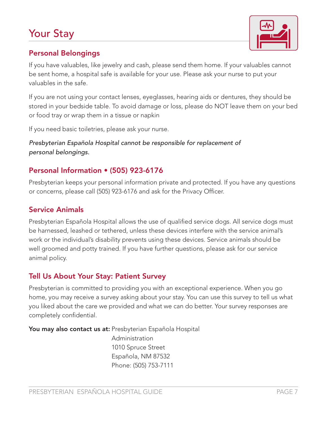# Your Stay



#### Personal Belongings

If you have valuables, like jewelry and cash, please send them home. If your valuables cannot be sent home, a hospital safe is available for your use. Please ask your nurse to put your valuables in the safe.

If you are not using your contact lenses, eyeglasses, hearing aids or dentures, they should be stored in your bedside table. To avoid damage or loss, please do NOT leave them on your bed or food tray or wrap them in a tissue or napkin

If you need basic toiletries, please ask your nurse.

*Presbyterian Española Hospital cannot be responsible for replacement of personal belongings.* 

#### Personal Information • (505) 923-6176

Presbyterian keeps your personal information private and protected. If you have any questions or concerns, please call (505) 923-6176 and ask for the Privacy Officer.

#### Service Animals

Presbyterian Española Hospital allows the use of qualified service dogs. All service dogs must be harnessed, leashed or tethered, unless these devices interfere with the service animal's work or the individual's disability prevents using these devices. Service animals should be well groomed and potty trained. If you have further questions, please ask for our service animal policy.

#### Tell Us About Your Stay: Patient Survey

Presbyterian is committed to providing you with an exceptional experience. When you go home, you may receive a survey asking about your stay. You can use this survey to tell us what you liked about the care we provided and what we can do better. Your survey responses are completely confidential.

You may also contact us at: Presbyterian Española Hospital

Administration 1010 Spruce Street Española, NM 87532 Phone: (505) 753-7111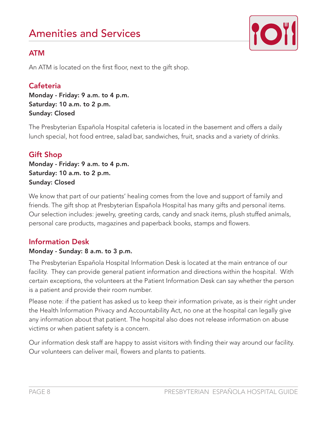# Amenities and Services



### ATM

An ATM is located on the first floor, next to the gift shop.

### **Cafeteria**

Monday - Friday: 9 a.m. to 4 p.m. Saturday: 10 a.m. to 2 p.m. Sunday: Closed

The Presbyterian Española Hospital cafeteria is located in the basement and offers a daily lunch special, hot food entree, salad bar, sandwiches, fruit, snacks and a variety of drinks.

### Gift Shop

Monday - Friday: 9 a.m. to 4 p.m. Saturday: 10 a.m. to 2 p.m. Sunday: Closed

We know that part of our patients' healing comes from the love and support of family and friends. The gift shop at Presbyterian Española Hospital has many gifts and personal items. Our selection includes: jewelry, greeting cards, candy and snack items, plush stuffed animals, personal care products, magazines and paperback books, stamps and flowers.

### Information Desk

#### Monday - Sunday: 8 a.m. to 3 p.m.

The Presbyterian Española Hospital Information Desk is located at the main entrance of our facility. They can provide general patient information and directions within the hospital. With certain exceptions, the volunteers at the Patient Information Desk can say whether the person is a patient and provide their room number.

Please note: if the patient has asked us to keep their information private, as is their right under the Health Information Privacy and Accountability Act, no one at the hospital can legally give any information about that patient. The hospital also does not release information on abuse victims or when patient safety is a concern.

Our information desk staff are happy to assist visitors with finding their way around our facility. Our volunteers can deliver mail, flowers and plants to patients.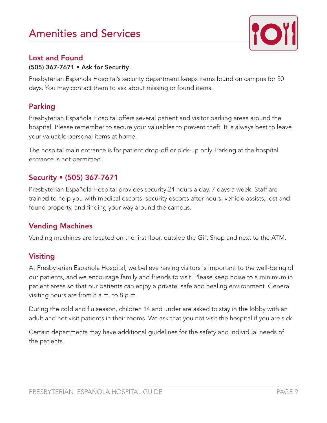# Amenities and Services



#### Lost and Found

#### (505) 367-7671 • Ask for Security

Presbyterian Espanola Hospital's security department keeps items found on campus for 30 days. You may contact them to ask about missing or found items.

#### Parking

Presbyterian Española Hospital offers several patient and visitor parking areas around the hospital. Please remember to secure your valuables to prevent theft. It is always best to leave your valuable personal items at home.

The hospital main entrance is for patient drop-off or pick-up only. Parking at the hospital entrance is not permitted.

#### Security • (505) 367-7671

Presbyterian Española Hospital provides security 24 hours a day, 7 days a week. Staff are trained to help you with medical escorts, security escorts after hours, vehicle assists, lost and found property, and finding your way around the campus.

#### Vending Machines

Vending machines are located on the first floor, outside the Gift Shop and next to the ATM.

#### Visiting

At Presbyterian Española Hospital, we believe having visitors is important to the well-being of our patients, and we encourage family and friends to visit. Please keep noise to a minimum in patient areas so that our patients can enjoy a private, safe and healing environment. General visiting hours are from 8 a.m. to 8 p.m.

During the cold and flu season, children 14 and under are asked to stay in the lobby with an adult and not visit patients in their rooms. We ask that you not visit the hospital if you are sick.

Certain departments may have additional guidelines for the safety and individual needs of the patients.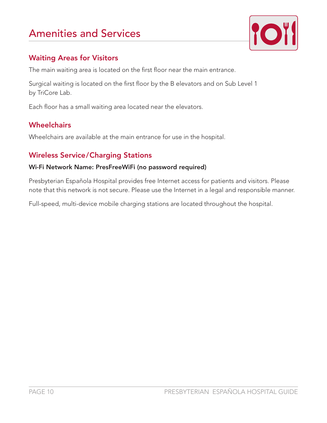# Amenities and Services



### Waiting Areas for Visitors

The main waiting area is located on the first floor near the main entrance.

Surgical waiting is located on the first floor by the B elevators and on Sub Level 1 by TriCore Lab.

Each floor has a small waiting area located near the elevators.

### **Wheelchairs**

Wheelchairs are available at the main entrance for use in the hospital.

### Wireless Service/Charging Stations

#### Wi-Fi Network Name: PresFreeWiFi (no password required)

Presbyterian Española Hospital provides free Internet access for patients and visitors. Please note that this network is not secure. Please use the Internet in a legal and responsible manner.

Full-speed, multi-device mobile charging stations are located throughout the hospital.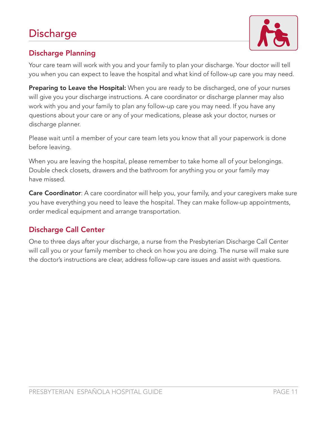

## Discharge Planning

Your care team will work with you and your family to plan your discharge. Your doctor will tell you when you can expect to leave the hospital and what kind of follow-up care you may need.

Preparing to Leave the Hospital: When you are ready to be discharged, one of your nurses will give you your discharge instructions. A care coordinator or discharge planner may also work with you and your family to plan any follow-up care you may need. If you have any questions about your care or any of your medications, please ask your doctor, nurses or discharge planner.

Please wait until a member of your care team lets you know that all your paperwork is done before leaving.

When you are leaving the hospital, please remember to take home all of your belongings. Double check closets, drawers and the bathroom for anything you or your family may have missed.

**Care Coordinator**: A care coordinator will help you, your family, and your caregivers make sure you have everything you need to leave the hospital. They can make follow-up appointments, order medical equipment and arrange transportation.

### Discharge Call Center

One to three days after your discharge, a nurse from the Presbyterian Discharge Call Center will call you or your family member to check on how you are doing. The nurse will make sure the doctor's instructions are clear, address follow-up care issues and assist with questions.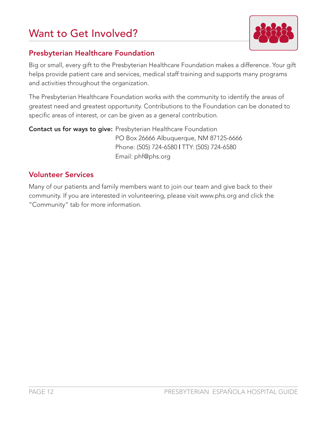# Want to Get Involved?



### Presbyterian Healthcare Foundation

Big or small, every gift to the Presbyterian Healthcare Foundation makes a difference. Your gift helps provide patient care and services, medical staff training and supports many programs and activities throughout the organization.

The Presbyterian Healthcare Foundation works with the community to identify the areas of greatest need and greatest opportunity. Contributions to the Foundation can be donated to specific areas of interest, or can be given as a general contribution.

Contact us for ways to give: Presbyterian Healthcare Foundation PO Box 26666 Albuquerque, NM 87125-6666 Phone: (505) 724-6580 | TTY: (505) 724-6580 Email: phf@phs.org

### Volunteer Services

Many of our patients and family members want to join our team and give back to their community. If you are interested in volunteering, please visit www.phs.org and click the "Community" tab for more information.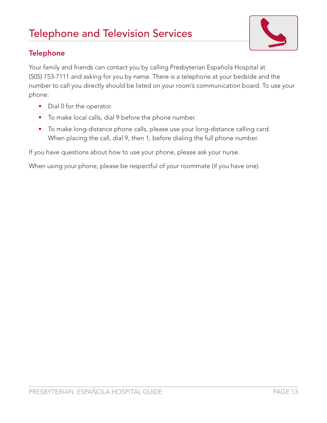# Telephone and Television Services



### **Telephone**

Your family and friends can contact you by calling Presbyterian Española Hospital at (505) 753-7111 and asking for you by name. There is a telephone at your bedside and the number to call you directly should be listed on your room's communication board. To use your phone:

- Dial 0 for the operator.
- To make local calls, dial 9 before the phone number.
- To make long-distance phone calls, please use your long-distance calling card. When placing the call, dial 9, then 1, before dialing the full phone number.

If you have questions about how to use your phone, please ask your nurse.

When using your phone, please be respectful of your roommate (if you have one).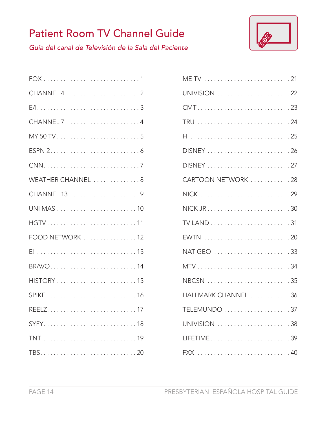# Patient Room TV Channel Guide



*Guía del canal de Televisión de la Sala del Paciente*

| WEATHER CHANNEL 8 |
|-------------------|
|                   |
|                   |
| HGTV11            |
| FOOD NETWORK 12   |
|                   |
| BRAVO14           |
|                   |
|                   |
|                   |
| SYFY18            |
|                   |
|                   |

| UNIVISION 22        |
|---------------------|
|                     |
|                     |
| HI25                |
| DISNEY 26           |
|                     |
| CARTOON NETWORK 28  |
| NICK 29             |
|                     |
|                     |
|                     |
|                     |
|                     |
| NBCSN 35            |
| HALLMARK CHANNEL 36 |
|                     |
| UNIVISION 38        |
| LIFETIME39          |
|                     |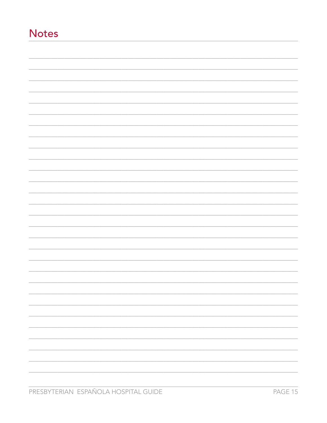# **Notes**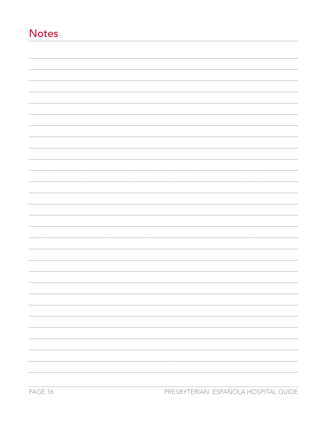# **Notes**